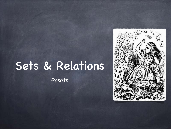# Sets & Relations

Posets

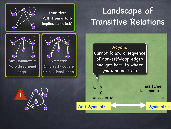

Transitive: Path from a to b implies edge (a,b)

#### Landscape of Transitive Relations

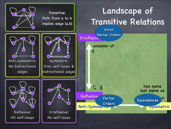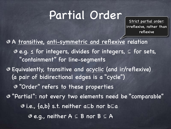# Partial Order

partial order: irreflexive, rather than reflexive

A transitive, anti-symmetric and reflexive relation e.g. ≤ for integers, divides for integers, ⊆ for sets, "containment" for line-segments Equivalently, transitive and acyclic (and ir/reflexive) (a pair of bidirectional edges is a "cycle") "Order" refers to these properties "Partial": not every two elements need be "comparable" i.e., {a,b} s.t. neither a⊑b nor b⊑a e.g., neither A ⊆ B nor B ⊆ A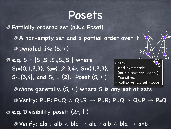#### Posets

Partially ordered set (a.k.a Poset) A non-empty set and a partial order over it Denoted like (S, ≼)  $e.g. S = {S_1, S_2, S_3, S_4, S_5}$  **where**  $S_1=\{0,1,2,3\}$ ,  $S_2=\{1,2,3,4\}$ ,  $S_3=\{1,2,3\}$ ,  $S_4=\{3,4\}$ , and  $S_5 = \{2\}$ . Poset  $(S, \subseteq)$ More generally, (S, ⊆) where S is any set of sets Verify: P⊆P; P⊆Q ⋀ Q⊆R → P⊆R; P⊆Q ⋀ Q⊆P → P=Q e.g. Divisibility poset: (Z**<sup>+</sup>**, | )  $\bullet$  Verify: a|a; a|b  $\wedge$  b|c  $\rightarrow$  a|c; a|b  $\wedge$  b|a  $\rightarrow$  a=b Check: - Anti-symmetric (no bidirectional edges), - Transitive, - Reflexive (all self-loops)  $S<sub>1</sub>$  $\mathsf{S}_2$  $S_3$  $\mathsf{S}_4$  $^{\prime}$ S5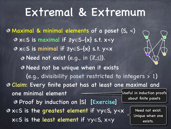### Extremal & Extremum

Maximal & minimal elements of a poset (S, ≼) x∈S is maximal if ∄y∈S-{x} s.t. x≼y x∈S is minimal if ∄y∈S-{x} s.t. y≼x  $\odot$  Need not exist (e.g., in  $(\mathbb{Z}, \leq)$ ). Need not be unique when it exists (e.g., divisibility poset restricted to integers > 1) Claim: Every finite poset has at least one maximal and one minimal element Proof by induction on |S| [Exercise] x∈S is the greatest element if ∀y∈S, y≼x x∈S is the least element if ∀y∈S, x≼y Useful in induction proofs about finite posets Need not exist. Unique when one exists.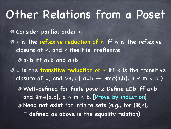### Other Relations from a Poset

Consider partial order ≼

≺ is the reflexive reduction of ≼ iff ≼ is the reflexive closure of ≺, and ≺ itself is irreflexive

a≺b iff a≠b and a≼b

⊑ is the transitive reduction of ≼ iff ≼ is the transitive closure of  $\sqsubseteq$ , and  $\forall a,b$  (  $a\sqsubseteq b \rightarrow \exists m \notin \{a,b\}$ ,  $a \le m \le b$  )

Well-defined for finite posets: Define a⊑b iff a≼b and  $\exists m \notin \{a,b\}$ ,  $a \le m \le b$ . [Prove by induction] Need not exist for infinite sets (e.g., for (R,≤), ⊑ defined as above is the equality relation)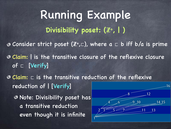Consider strict poset (Z**<sup>+</sup>** ,⊏), where a ⊏ b iff b/a is prime Claim: | is the transitive closure of the reflexive closure of ⊏ [Verify] Claim: ⊏ is the transitive reduction of the reflexive reduction of | [Verify] Note: Divisibility poset has a transitive reduction even though it is infinite Running Example **Divisibility poset: (**Z**<sup>+</sup>, | )** 16  $8$  12 14 15  $2\sqrt{3}$   $5\sqrt{7}$   $11$   $13$ 1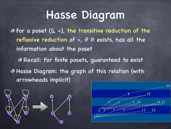### Hasse Diagram

For a poset (S, ≼), the transitive reduction of the reflexive reduction of  $\le$ , if it exists, has all the information about the poset Recall: For finite posets, guaranteed to exist Hasse Diagram: the graph of this relation (with arrowheads implicit)



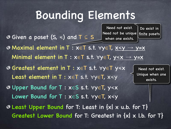## Bounding Elements

Need not exist.

Do exist in

- Given a poset (S, ≼) and T ⊆ S Maximal element in T : x∈T s.t. ∀y∈T, x≼y → y=x Minimal element in T :  $x \in T$  s.t.  $\forall y \in T$ ,  $y \le x \rightarrow y=x$ Greatest element in T : x∈T s.t. ∀y∈T y≼x Least element in T : x∈T s.t. ∀y∈T, x≼y Upper Bound for T : x∈S s.t. ∀y∈T, y≼x Lower Bound for T : x∈S s.t. ∀y∈T, x≼y Least Upper Bound for T: Least in {x| x u.b. for T} Need not exist. Unique when one exists. Need not be unique when one exists. finite posets
- Greatest Lower Bound for T: Greatest in {x| x l.b. for T}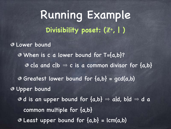Running Example Lower bound When is c a lower bound for T={a,b}?  $\odot$  c|a and c|b  $\Rightarrow$  c is a common divisor for {a,b} Greatest lower bound for  ${a,b}$  =  $qcd(a,b)$ Upper bound  $\odot$  d is an upper bound for  ${a,b} \Rightarrow$  ald, bld  $\Rightarrow$  d a common multiple for {a,b}  $\odot$  **Least upper bound for {a,b} = lcm(a,b) Divisibility poset: (**Z**<sup>+</sup>, | )**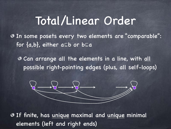#### Total/Linear Order

In some posets every two elements are "comparable": for {a,b}, either a⊑b or b⊑a

Can arrange all the elements in a line, with all possible right-pointing edges (plus, all self-loops)



If finite, has unique maximal and unique minimal elements (left and right ends)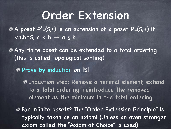#### Order Extension

A poset P'=(S,≤) is an extension of a poset P=(S,≼) if  $\forall a,b \in S, a \leq b \rightarrow a \leq b$ 

Any finite poset can be extended to a total ordering (this is called topological sorting)

Prove by induction on |S|

Induction step: Remove a minimal element, extend to a total ordering, reintroduce the removed element as the minimum in the total ordering.

For infinite posets? The "Order Extension Principle" is typically taken as an axiom! (Unless an even stronger axiom called the "Axiom of Choice" is used)